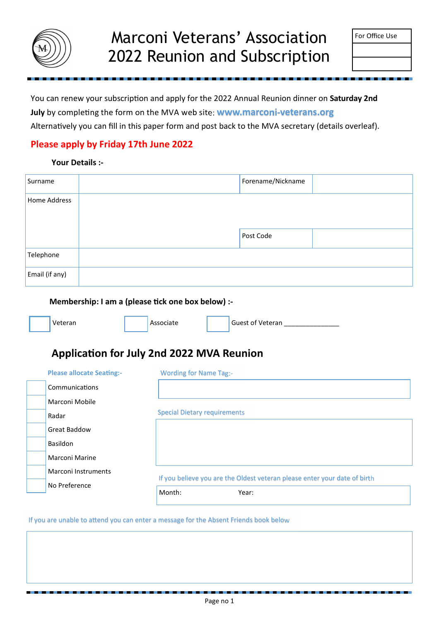

| For Office Use |  |
|----------------|--|
|----------------|--|

You can renew your subscription and apply for the 2022 Annual Reunion dinner on **Saturday 2nd** 

**July** by completing the form on the MVA web site: **www.marconi-veterans.org** 

Alternatively you can fill in this paper form and post back to the MVA secretary (details overleaf).

## **Please apply by Friday 17th June 2022**

#### **Your Details :-**

| Surname        | Forename/Nickname |  |
|----------------|-------------------|--|
| Home Address   |                   |  |
|                |                   |  |
|                | Post Code         |  |
| Telephone      |                   |  |
| Email (if any) |                   |  |

#### **Membership: I am a (please tick one box below) :-**

|  | Veteran |  | Associate |  | Guest of Veteran |
|--|---------|--|-----------|--|------------------|
|--|---------|--|-----------|--|------------------|

## **Application for July 2nd 2022 MVA Reunion**

|                                  | Month:<br>Year:                                                           |
|----------------------------------|---------------------------------------------------------------------------|
| No Preference                    |                                                                           |
| Marconi Instruments              | If you believe you are the Oldest veteran please enter your date of birth |
| Marconi Marine                   |                                                                           |
| Basildon                         |                                                                           |
| <b>Great Baddow</b>              |                                                                           |
| Radar                            | <b>Special Dietary requirements</b>                                       |
| Marconi Mobile                   |                                                                           |
| Communications                   |                                                                           |
| <b>Please allocate Seating:-</b> | <b>Wording for Name Tag:-</b>                                             |

If you are unable to attend you can enter a message for the Absent Friends book below